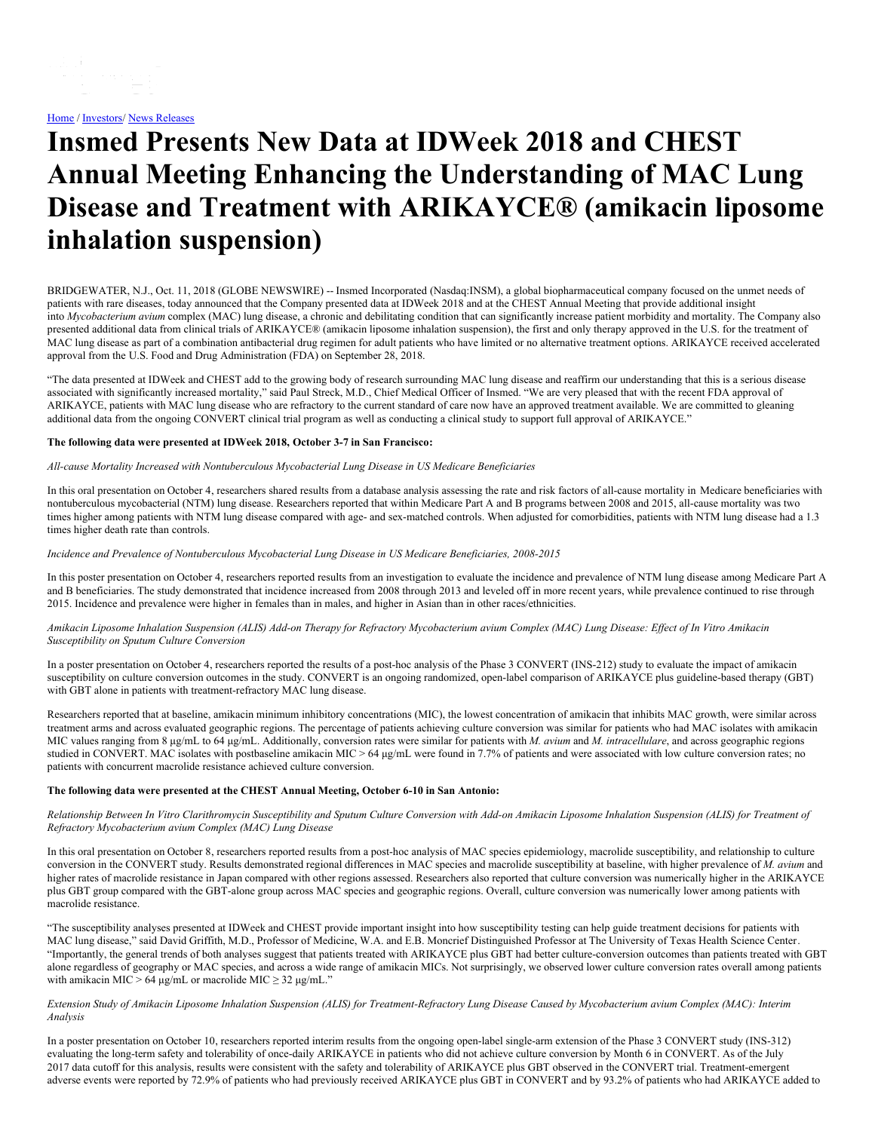# **Insmed Presents New Data at IDWeek 2018 and CHEST Annual Meeting Enhancing the Understanding of MAC Lung Disease and Treatment with ARIKAYCE® (amikacin liposome inhalation suspension)**

BRIDGEWATER, N.J., Oct. 11, 2018 (GLOBE NEWSWIRE) -- Insmed Incorporated (Nasdaq:INSM), a global biopharmaceutical company focused on the unmet needs of patients with rare diseases, today announced that the Company presented data at IDWeek 2018 and at the CHEST Annual Meeting that provide additional insight into *Mycobacterium avium* complex (MAC) lung disease, a chronic and debilitating condition that can significantly increase patient morbidity and mortality. The Company also presented additional data from clinical trials of ARIKAYCE® (amikacin liposome inhalation suspension), the first and only therapy approved in the U.S. for the treatment of MAC lung disease as part of a combination antibacterial drug regimen for adult patients who have limited or no alternative treatment options. ARIKAYCE received accelerated approval from the U.S. Food and Drug Administration (FDA) on September 28, 2018.

"The data presented at IDWeek and CHEST add to the growing body of research surrounding MAC lung disease and reaffirm our understanding that this is a serious disease associated with significantly increased mortality," said Paul Streck, M.D., Chief Medical Officer of Insmed. "We are very pleased that with the recent FDA approval of ARIKAYCE, patients with MAC lung disease who are refractory to the current standard of care now have an approved treatment available. We are committed to gleaning additional data from the ongoing CONVERT clinical trial program as well as conducting a clinical study to support full approval of ARIKAYCE."

# **The following data were presented at IDWeek 2018, October 3-7 in San Francisco:**

#### *All-cause Mortality Increased with Nontuberculous Mycobacterial Lung Disease in US Medicare Beneficiaries*

In this oral presentation on October 4, researchers shared results from a database analysis assessing the rate and risk factors of all-cause mortality in Medicare beneficiaries with nontuberculous mycobacterial (NTM) lung disease. Researchers reported that within Medicare Part A and B programs between 2008 and 2015, all-cause mortality was two times higher among patients with NTM lung disease compared with age- and sex-matched controls. When adjusted for comorbidities, patients with NTM lung disease had a 1.3 times higher death rate than controls.

#### *Incidence and Prevalence of Nontuberculous Mycobacterial Lung Disease in US Medicare Beneficiaries, 2008-2015*

In this poster presentation on October 4, researchers reported results from an investigation to evaluate the incidence and prevalence of NTM lung disease among Medicare Part A and B beneficiaries. The study demonstrated that incidence increased from 2008 through 2013 and leveled off in more recent years, while prevalence continued to rise through 2015. Incidence and prevalence were higher in females than in males, and higher in Asian than in other races/ethnicities.

## Amikacin Liposome Inhalation Suspension (ALIS) Add-on Therapy for Refractory Mycobacterium avium Complex (MAC) Lung Disease: Effect of In Vitro Amikacin *Susceptibility on Sputum Culture Conversion*

In a poster presentation on October 4, researchers reported the results of a post-hoc analysis of the Phase 3 CONVERT (INS-212) study to evaluate the impact of amikacin susceptibility on culture conversion outcomes in the study. CONVERT is an ongoing randomized, open-label comparison of ARIKAYCE plus guideline-based therapy (GBT) with GBT alone in patients with treatment-refractory MAC lung disease.

Researchers reported that at baseline, amikacin minimum inhibitory concentrations (MIC), the lowest concentration of amikacin that inhibits MAC growth, were similar across treatment arms and across evaluated geographic regions. The percentage of patients achieving culture conversion was similar for patients who had MAC isolates with amikacin MIC values ranging from 8 μg/mL to 64 μg/mL. Additionally, conversion rates were similar for patients with *M. avium* and *M. intracellulare*, and across geographic regions studied in CONVERT. MAC isolates with postbaseline amikacin MIC > 64 μg/mL were found in 7.7% of patients and were associated with low culture conversion rates; no patients with concurrent macrolide resistance achieved culture conversion.

# **The following data were presented at the CHEST Annual Meeting, October 6-10 in San Antonio:**

Relationship Between In Vitro Clarithromycin Susceptibility and Sputum Culture Conversion with Add-on Amikacin Liposome Inhalation Suspension (ALIS) for Treatment of *Refractory Mycobacterium avium Complex (MAC) Lung Disease*

In this oral presentation on October 8, researchers reported results from a post-hoc analysis of MAC species epidemiology, macrolide susceptibility, and relationship to culture conversion in the CONVERT study. Results demonstrated regional differences in MAC species and macrolide susceptibility at baseline, with higher prevalence of *M. avium* and higher rates of macrolide resistance in Japan compared with other regions assessed. Researchers also reported that culture conversion was numerically higher in the ARIKAYCE plus GBT group compared with the GBT-alone group across MAC species and geographic regions. Overall, culture conversion was numerically lower among patients with macrolide resistance.

"The susceptibility analyses presented at IDWeek and CHEST provide important insight into how susceptibility testing can help guide treatment decisions for patients with MAC lung disease," said David Griffith, M.D., Professor of Medicine, W.A. and E.B. Moncrief Distinguished Professor at The University of Texas Health Science Center. "Importantly, the general trends of both analyses suggest that patients treated with ARIKAYCE plus GBT had better culture-conversion outcomes than patients treated with GBT alone regardless of geography or MAC species, and across a wide range of amikacin MICs. Not surprisingly, we observed lower culture conversion rates overall among patients with amikacin MIC > 64 μg/mL or macrolide MIC  $\geq$  32 μg/mL."

#### Extension Study of Amikacin Liposome Inhalation Suspension (ALIS) for Treatment-Refractory Lung Disease Caused by Mycobacterium avium Complex (MAC): Interim *Analysis*

In a poster presentation on October 10, researchers reported interim results from the ongoing open-label single-arm extension of the Phase 3 CONVERT study (INS-312) evaluating the long-term safety and tolerability of once-daily ARIKAYCE in patients who did not achieve culture conversion by Month 6 in CONVERT. As of the July 2017 data cutoff for this analysis, results were consistent with the safety and tolerability of ARIKAYCE plus GBT observed in the CONVERT trial. Treatment-emergent adverse events were reported by 72.9% of patients who had previously received ARIKAYCE plus GBT in CONVERT and by 93.2% of patients who had ARIKAYCE added to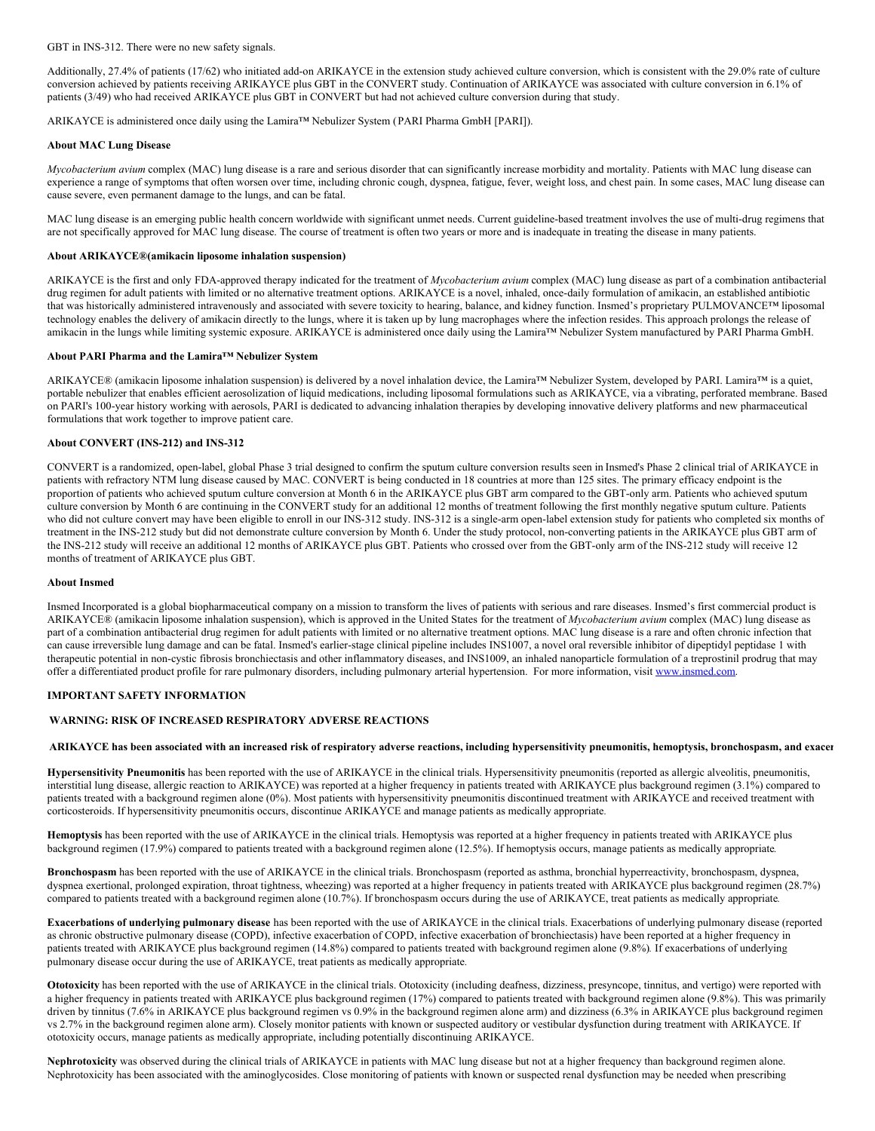GBT in INS-312. There were no new safety signals.

Additionally, 27.4% of patients (17/62) who initiated add-on ARIKAYCE in the extension study achieved culture conversion, which is consistent with the 29.0% rate of culture conversion achieved by patients receiving ARIKAYCE plus GBT in the CONVERT study. Continuation of ARIKAYCE was associated with culture conversion in 6.1% of patients (3/49) who had received ARIKAYCE plus GBT in CONVERT but had not achieved culture conversion during that study.

ARIKAYCE is administered once daily using the Lamira™ Nebulizer System (PARI Pharma GmbH [PARI]).

#### **About MAC Lung Disease**

*Mycobacterium avium* complex (MAC) lung disease is a rare and serious disorder that can significantly increase morbidity and mortality. Patients with MAC lung disease can experience a range of symptoms that often worsen over time, including chronic cough, dyspnea, fatigue, fever, weight loss, and chest pain. In some cases, MAC lung disease can cause severe, even permanent damage to the lungs, and can be fatal.

MAC lung disease is an emerging public health concern worldwide with significant unmet needs. Current guideline-based treatment involves the use of multi-drug regimens that are not specifically approved for MAC lung disease. The course of treatment is often two years or more and is inadequate in treating the disease in many patients.

## **About ARIKAYCE®(amikacin liposome inhalation suspension)**

ARIKAYCE is the first and only FDA-approved therapy indicated for the treatment of *Mycobacterium avium* complex (MAC) lung disease as part of a combination antibacterial drug regimen for adult patients with limited or no alternative treatment options. ARIKAYCE is a novel, inhaled, once-daily formulation of amikacin, an established antibiotic that was historically administered intravenously and associated with severe toxicity to hearing, balance, and kidney function. Insmed's proprietary PULMOVANCE™ liposomal technology enables the delivery of amikacin directly to the lungs, where it is taken up by lung macrophages where the infection resides. This approach prolongs the release of amikacin in the lungs while limiting systemic exposure. ARIKAYCE is administered once daily using the Lamira™ Nebulizer System manufactured by PARI Pharma GmbH.

# **About PARI Pharma and the Lamira™ Nebulizer System**

ARIKAYCE® (amikacin liposome inhalation suspension) is delivered by a novel inhalation device, the Lamira™ Nebulizer System, developed by PARI. Lamira™ is a quiet, portable nebulizer that enables efficient aerosolization of liquid medications, including liposomal formulations such as ARIKAYCE, via a vibrating, perforated membrane. Based on PARI's 100-year history working with aerosols, PARI is dedicated to advancing inhalation therapies by developing innovative delivery platforms and new pharmaceutical formulations that work together to improve patient care.

## **About CONVERT (INS-212) and INS-312**

CONVERT is a randomized, open-label, global Phase 3 trial designed to confirm the sputum culture conversion results seen in Insmed's Phase 2 clinical trial of ARIKAYCE in patients with refractory NTM lung disease caused by MAC. CONVERT is being conducted in 18 countries at more than 125 sites. The primary efficacy endpoint is the proportion of patients who achieved sputum culture conversion at Month 6 in the ARIKAYCE plus GBT arm compared to the GBT-only arm. Patients who achieved sputum culture conversion by Month 6 are continuing in the CONVERT study for an additional 12 months of treatment following the first monthly negative sputum culture. Patients who did not culture convert may have been eligible to enroll in our INS-312 study. INS-312 is a single-arm open-label extension study for patients who completed six months of treatment in the INS-212 study but did not demonstrate culture conversion by Month 6. Under the study protocol, non-converting patients in the ARIKAYCE plus GBT arm of the INS-212 study will receive an additional 12 months of ARIKAYCE plus GBT. Patients who crossed over from the GBT-only arm of the INS-212 study will receive 12 months of treatment of ARIKAYCE plus GBT.

## **About Insmed**

Insmed Incorporated is a global biopharmaceutical company on a mission to transform the lives of patients with serious and rare diseases. Insmed's first commercial product is ARIKAYCE® (amikacin liposome inhalation suspension), which is approved in the United States for the treatment of *Mycobacterium avium* complex (MAC) lung disease as part of a combination antibacterial drug regimen for adult patients with limited or no alternative treatment options. MAC lung disease is a rare and often chronic infection that can cause irreversible lung damage and can be fatal. Insmed's earlier-stage clinical pipeline includes INS1007, a novel oral reversible inhibitor of dipeptidyl peptidase 1 with therapeutic potential in non-cystic fibrosis bronchiectasis and other inflammatory diseases, and INS1009, an inhaled nanoparticle formulation of a treprostinil prodrug that may offer a differentiated product profile for rare pulmonary disorders, including pulmonary arterial hypertension. For more information, visit [www.insmed.com](https://www.globenewswire.com/Tracker?data=mZQOX9DPGNaiutt4AF_c61h5XAPgiZWDmPbIUrRFxo7PUXQvur02fiwvfjaEtXVepRk8tkuePh-QaS2rXjhozg==).

#### **IMPORTANT SAFETY INFORMATION**

## **WARNING: RISK OF INCREASED RESPIRATORY ADVERSE REACTIONS**

## ARIKAYCE has been associated with an increased risk of respiratory adverse reactions, including hypersensitivity pneumonitis, hemoptysis, bronchospasm, and exacer

**Hypersensitivity Pneumonitis** has been reported with the use of ARIKAYCE in the clinical trials. Hypersensitivity pneumonitis (reported as allergic alveolitis, pneumonitis, interstitial lung disease, allergic reaction to ARIKAYCE) was reported at a higher frequency in patients treated with ARIKAYCE plus background regimen (3.1%) compared to patients treated with a background regimen alone (0%). Most patients with hypersensitivity pneumonitis discontinued treatment with ARIKAYCE and received treatment with corticosteroids. If hypersensitivity pneumonitis occurs, discontinue ARIKAYCE and manage patients as medically appropriate*.*

**Hemoptysis** has been reported with the use of ARIKAYCE in the clinical trials. Hemoptysis was reported at a higher frequency in patients treated with ARIKAYCE plus background regimen (17.9%) compared to patients treated with a background regimen alone (12.5%). If hemoptysis occurs, manage patients as medically appropriate*.*

**Bronchospasm** has been reported with the use of ARIKAYCE in the clinical trials. Bronchospasm (reported as asthma, bronchial hyperreactivity, bronchospasm, dyspnea, dyspnea exertional, prolonged expiration, throat tightness, wheezing) was reported at a higher frequency in patients treated with ARIKAYCE plus background regimen (28.7%) compared to patients treated with a background regimen alone (10.7%). If bronchospasm occurs during the use of ARIKAYCE, treat patients as medically appropriate*.*

**Exacerbations of underlying pulmonary disease** has been reported with the use of ARIKAYCE in the clinical trials. Exacerbations of underlying pulmonary disease (reported as chronic obstructive pulmonary disease (COPD), infective exacerbation of COPD, infective exacerbation of bronchiectasis) have been reported at a higher frequency in patients treated with ARIKAYCE plus background regimen (14.8%) compared to patients treated with background regimen alone (9.8%)*.* If exacerbations of underlying pulmonary disease occur during the use of ARIKAYCE, treat patients as medically appropriate*.*

**Ototoxicity** has been reported with the use of ARIKAYCE in the clinical trials. Ototoxicity (including deafness, dizziness, presyncope, tinnitus, and vertigo) were reported with a higher frequency in patients treated with ARIKAYCE plus background regimen (17%) compared to patients treated with background regimen alone (9.8%). This was primarily driven by tinnitus (7.6% in ARIKAYCE plus background regimen vs 0.9% in the background regimen alone arm) and dizziness (6.3% in ARIKAYCE plus background regimen vs 2.7% in the background regimen alone arm). Closely monitor patients with known or suspected auditory or vestibular dysfunction during treatment with ARIKAYCE. If ototoxicity occurs, manage patients as medically appropriate, including potentially discontinuing ARIKAYCE.

**Nephrotoxicity** was observed during the clinical trials of ARIKAYCE in patients with MAC lung disease but not at a higher frequency than background regimen alone. Nephrotoxicity has been associated with the aminoglycosides. Close monitoring of patients with known or suspected renal dysfunction may be needed when prescribing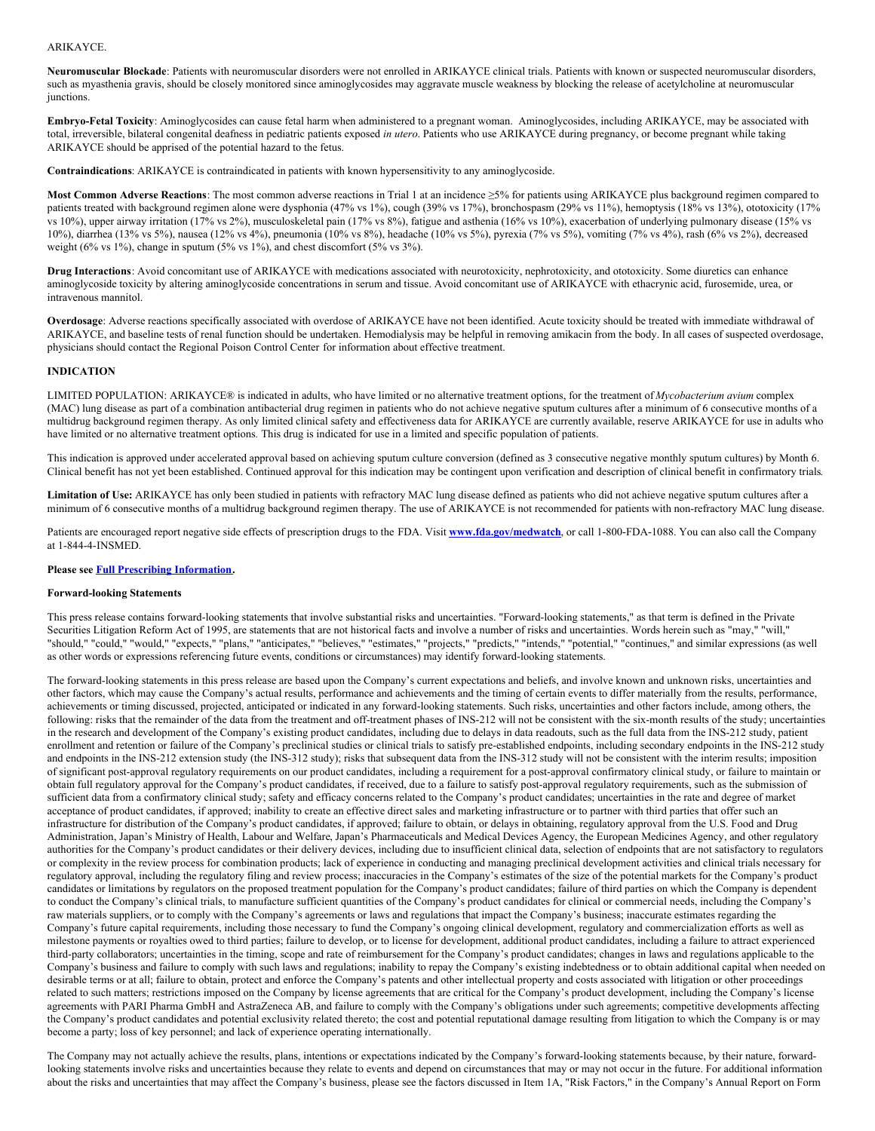# ARIKAYCE.

**Neuromuscular Blockade**: Patients with neuromuscular disorders were not enrolled in ARIKAYCE clinical trials. Patients with known or suspected neuromuscular disorders, such as myasthenia gravis, should be closely monitored since aminoglycosides may aggravate muscle weakness by blocking the release of acetylcholine at neuromuscular junctions.

**Embryo-Fetal Toxicity**: Aminoglycosides can cause fetal harm when administered to a pregnant woman. Aminoglycosides, including ARIKAYCE, may be associated with total, irreversible, bilateral congenital deafness in pediatric patients exposed *in utero*. Patients who use ARIKAYCE during pregnancy, or become pregnant while taking ARIKAYCE should be apprised of the potential hazard to the fetus.

**Contraindications**: ARIKAYCE is contraindicated in patients with known hypersensitivity to any aminoglycoside.

**Most Common Adverse Reactions**: The most common adverse reactions in Trial 1 at an incidence ≥5% for patients using ARIKAYCE plus background regimen compared to patients treated with background regimen alone were dysphonia (47% vs 1%), cough (39% vs 17%), bronchospasm (29% vs 11%), hemoptysis (18% vs 13%), ototoxicity (17%) vs 10%), upper airway irritation (17% vs 2%), musculoskeletal pain (17% vs 8%), fatigue and asthenia (16% vs 10%), exacerbation of underlying pulmonary disease (15% vs 10%), diarrhea (13% vs 5%), nausea (12% vs 4%), pneumonia (10% vs 8%), headache (10% vs 5%), pyrexia (7% vs 5%), vomiting (7% vs 4%), rash (6% vs 2%), decreased weight (6% vs 1%), change in sputum (5% vs 1%), and chest discomfort (5% vs 3%).

**Drug Interactions**: Avoid concomitant use of ARIKAYCE with medications associated with neurotoxicity, nephrotoxicity, and ototoxicity. Some diuretics can enhance aminoglycoside toxicity by altering aminoglycoside concentrations in serum and tissue. Avoid concomitant use of ARIKAYCE with ethacrynic acid, furosemide, urea, or intravenous mannitol.

**Overdosage**: Adverse reactions specifically associated with overdose of ARIKAYCE have not been identified. Acute toxicity should be treated with immediate withdrawal of ARIKAYCE, and baseline tests of renal function should be undertaken. Hemodialysis may be helpful in removing amikacin from the body. In all cases of suspected overdosage, physicians should contact the Regional Poison Control Center for information about effective treatment.

## **INDICATION**

LIMITED POPULATION: ARIKAYCE® is indicated in adults, who have limited or no alternative treatment options, for the treatment of *Mycobacterium avium* complex (MAC) lung disease as part of a combination antibacterial drug regimen in patients who do not achieve negative sputum cultures after a minimum of 6 consecutive months of a multidrug background regimen therapy. As only limited clinical safety and effectiveness data for ARIKAYCE are currently available, reserve ARIKAYCE for use in adults who have limited or no alternative treatment options*.* This drug is indicated for use in a limited and specific population of patients.

This indication is approved under accelerated approval based on achieving sputum culture conversion (defined as 3 consecutive negative monthly sputum cultures) by Month 6. Clinical benefit has not yet been established. Continued approval for this indication may be contingent upon verification and description of clinical benefit in confirmatory trials*.*

**Limitation of Use:** ARIKAYCE has only been studied in patients with refractory MAC lung disease defined as patients who did not achieve negative sputum cultures after a minimum of 6 consecutive months of a multidrug background regimen therapy. The use of ARIKAYCE is not recommended for patients with non-refractory MAC lung disease.

Patients are encouraged report negative side effects of prescription drugs to the FDA. Visit **[www.fda.gov/medwatch](https://www.globenewswire.com/Tracker?data=WTjzZova-E2R15FRA53U6gZ1thrqbFcqNhL3RC8Slt9wOizYD4PXNQhxdANxrV4zfLFjFT8Nj5novOElR8ATTHF9WL7o_VDbZOE8vACTaAE=)**, or call 1‑800‑FDA‑1088. You can also call the Company at 1-844-4-INSMED.

#### **Please see Full Prescribing [Information](https://www.globenewswire.com/Tracker?data=qHkDhbm1RfXLBMT7F3YUo-8KcTdMbUVOAOidhcZecXN329KEAHA8TWGWfmUsNiPPp1ghJelg5EGdxHUQoUjegBkIKeCzai-zOWEFGA8Z6mcaNaO7m2VpX-T0iy6NVZwtLPmziQx8gBpoG6sXFai9A0AjT4PJcRtKLGV00PfS09QPDLr5NMNmpHJZvh7X2-qY).**

#### **Forward-looking Statements**

This press release contains forward-looking statements that involve substantial risks and uncertainties. "Forward-looking statements," as that term is defined in the Private Securities Litigation Reform Act of 1995, are statements that are not historical facts and involve a number of risks and uncertainties. Words herein such as "may," "will," "should," "could," "would," "expects," "plans," "anticipates," "believes," "estimates," "projects," "predicts," "intends," "potential," "continues," and similar expressions (as well as other words or expressions referencing future events, conditions or circumstances) may identify forward-looking statements.

The forward-looking statements in this press release are based upon the Company's current expectations and beliefs, and involve known and unknown risks, uncertainties and other factors, which may cause the Company's actual results, performance and achievements and the timing of certain events to differ materially from the results, performance, achievements or timing discussed, projected, anticipated or indicated in any forward-looking statements. Such risks, uncertainties and other factors include, among others, the following: risks that the remainder of the data from the treatment and off-treatment phases of INS-212 will not be consistent with the six-month results of the study; uncertainties in the research and development of the Company's existing product candidates, including due to delays in data readouts, such as the full data from the INS-212 study, patient enrollment and retention or failure of the Company's preclinical studies or clinical trials to satisfy pre-established endpoints, including secondary endpoints in the INS-212 study and endpoints in the INS-212 extension study (the INS-312 study); risks that subsequent data from the INS-312 study will not be consistent with the interim results; imposition of significant post-approval regulatory requirements on our product candidates, including a requirement for a post-approval confirmatory clinical study, or failure to maintain or obtain full regulatory approval for the Company's product candidates, if received, due to a failure to satisfy post-approval regulatory requirements, such as the submission of sufficient data from a confirmatory clinical study; safety and efficacy concerns related to the Company's product candidates; uncertainties in the rate and degree of market acceptance of product candidates, if approved; inability to create an effective direct sales and marketing infrastructure or to partner with third parties that offer such an infrastructure for distribution of the Company's product candidates, if approved; failure to obtain, or delays in obtaining, regulatory approval from the U.S. Food and Drug Administration, Japan's Ministry of Health, Labour and Welfare, Japan's Pharmaceuticals and Medical Devices Agency, the European Medicines Agency, and other regulatory authorities for the Company's product candidates or their delivery devices, including due to insufficient clinical data, selection of endpoints that are not satisfactory to regulators or complexity in the review process for combination products; lack of experience in conducting and managing preclinical development activities and clinical trials necessary for regulatory approval, including the regulatory filing and review process; inaccuracies in the Company's estimates of the size of the potential markets for the Company's product candidates or limitations by regulators on the proposed treatment population for the Company's product candidates; failure of third parties on which the Company is dependent to conduct the Company's clinical trials, to manufacture sufficient quantities of the Company's product candidates for clinical or commercial needs, including the Company's raw materials suppliers, or to comply with the Company's agreements or laws and regulations that impact the Company's business; inaccurate estimates regarding the Company's future capital requirements, including those necessary to fund the Company's ongoing clinical development, regulatory and commercialization efforts as well as milestone payments or royalties owed to third parties; failure to develop, or to license for development, additional product candidates, including a failure to attract experienced third-party collaborators; uncertainties in the timing, scope and rate of reimbursement for the Company's product candidates; changes in laws and regulations applicable to the Company's business and failure to comply with such laws and regulations; inability to repay the Company's existing indebtedness or to obtain additional capital when needed on desirable terms or at all; failure to obtain, protect and enforce the Company's patents and other intellectual property and costs associated with litigation or other proceedings related to such matters; restrictions imposed on the Company by license agreements that are critical for the Company's product development, including the Company's license agreements with PARI Pharma GmbH and AstraZeneca AB, and failure to comply with the Company's obligations under such agreements; competitive developments affecting the Company's product candidates and potential exclusivity related thereto; the cost and potential reputational damage resulting from litigation to which the Company is or may become a party; loss of key personnel; and lack of experience operating internationally.

The Company may not actually achieve the results, plans, intentions or expectations indicated by the Company's forward-looking statements because, by their nature, forwardlooking statements involve risks and uncertainties because they relate to events and depend on circumstances that may or may not occur in the future. For additional information about the risks and uncertainties that may affect the Company's business, please see the factors discussed in Item 1A, "Risk Factors," in the Company's Annual Report on Form